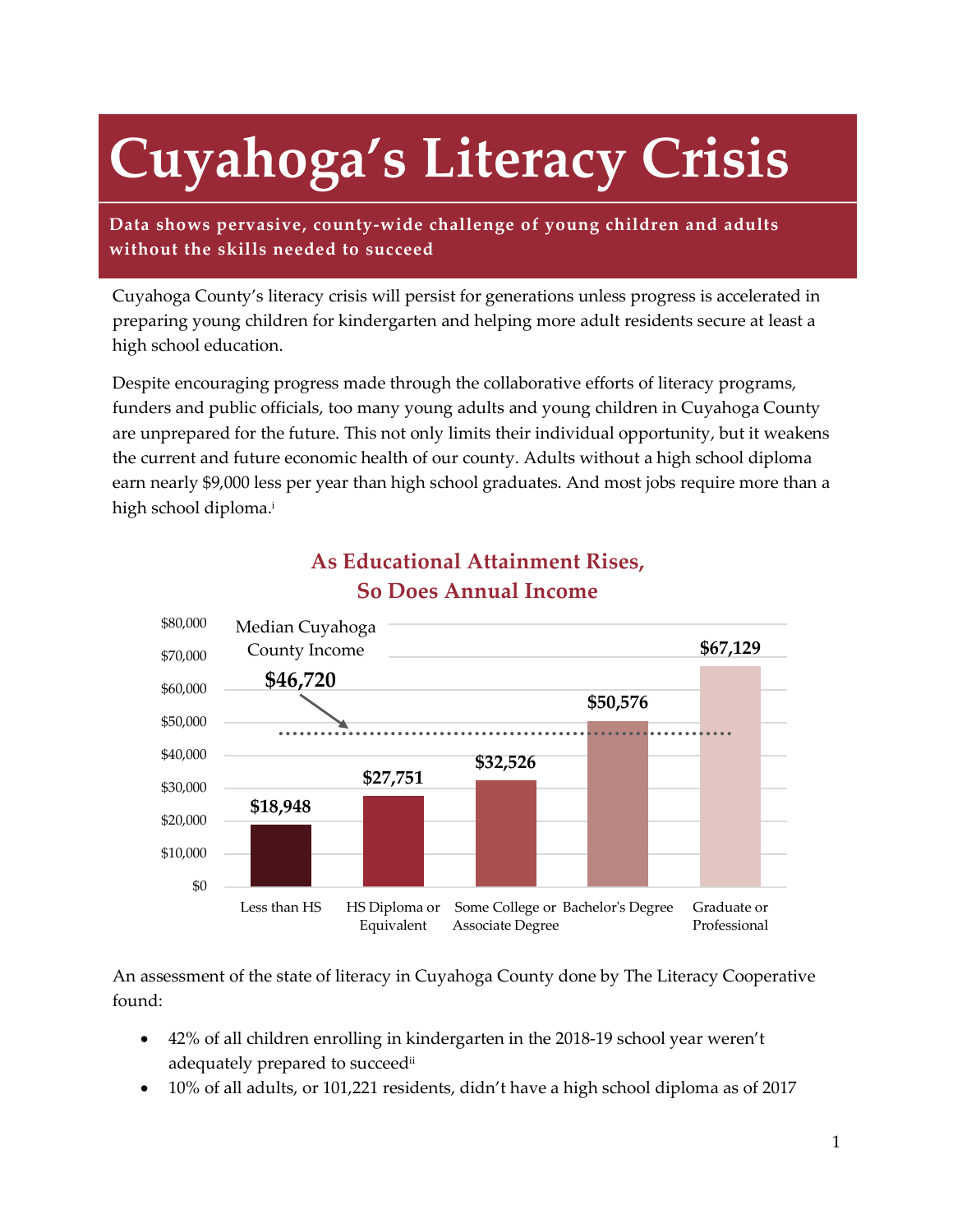# **Cuyahoga's Literacy Crisis**

**Data shows pervasive, county-wide challenge of young children and adults without the skills needed to succeed**

Cuyahoga County's literacy crisis will persist for generations unless progress is accelerated in preparing young children for kindergarten and helping more adult residents secure at least a high school education.

Despite encouraging progress made through the collaborative efforts of literacy programs, funders and public officials, too many young adults and young children in Cuyahoga County are unprepared for the future. This not only limits their individual opportunity, but it weakens the current and future economic health of our county. Adults without a high school diploma earn nearly \$9,000 less per year than high school graduates. And most jobs require more than a high school diploma.i



### **As Educational Attainment Rises, So Does Annual Income**

An assessment of the state of literacy in Cuyahoga County done by The Literacy Cooperative found:

- 42% of all children enrolling in kindergarten in the 2018-19 school year weren't adequately prepared to succeedii
- 10% of all adults, or 101,221 residents, didn't have a high school diploma as of 2017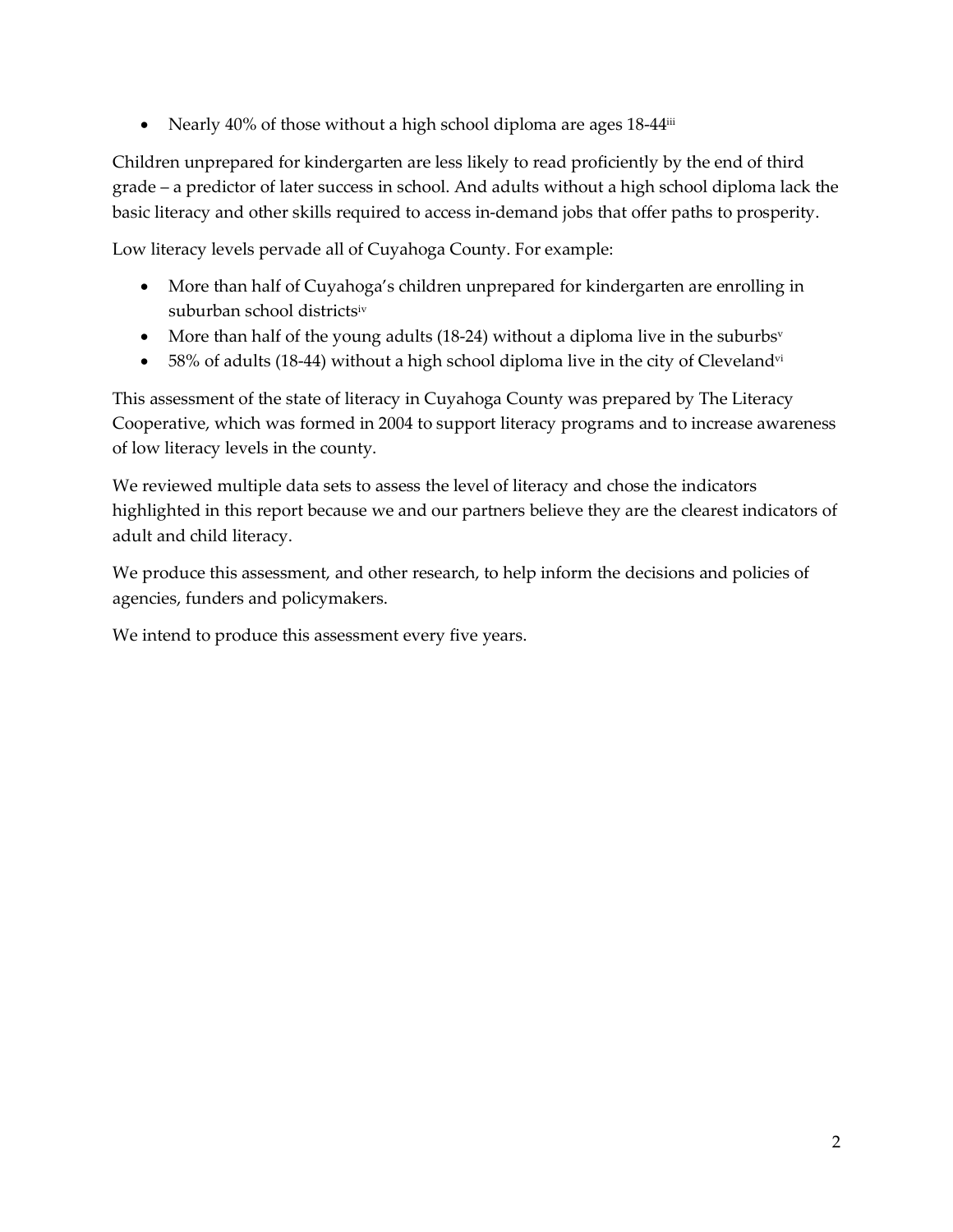• Nearly 40% of those without a high school diploma are ages 18-44<sup>iii</sup>

Children unprepared for kindergarten are less likely to read proficiently by the end of third grade – a predictor of later success in school. And adults without a high school diploma lack the basic literacy and other skills required to access in-demand jobs that offer paths to prosperity.

Low literacy levels pervade all of Cuyahoga County. For example:

- More than half of Cuyahoga's children unprepared for kindergarten are enrolling in suburban school districtsiv
- More than half of the young adults (18-24) without a diploma live in the suburbs<sup>v</sup>
- 58% of adults (18-44) without a high school diploma live in the city of Cleveland<sup>vi</sup>

This assessment of the state of literacy in Cuyahoga County was prepared by The Literacy Cooperative, which was formed in 2004 to support literacy programs and to increase awareness of low literacy levels in the county.

We reviewed multiple data sets to assess the level of literacy and chose the indicators highlighted in this report because we and our partners believe they are the clearest indicators of adult and child literacy.

We produce this assessment, and other research, to help inform the decisions and policies of agencies, funders and policymakers.

We intend to produce this assessment every five years.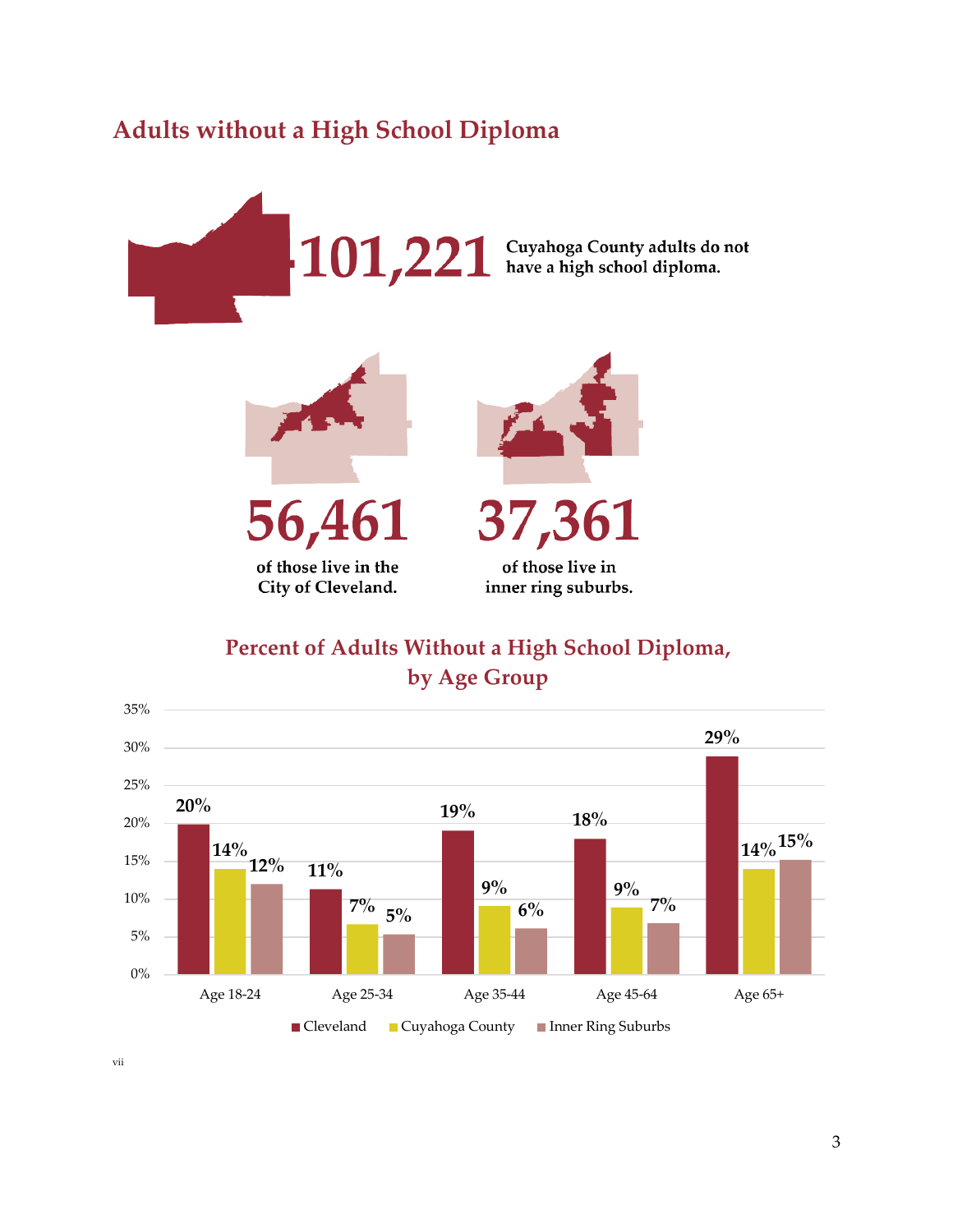## **Adults without a High School Diploma**





56,46 of those live in the

City of Cleveland.





of those live in inner ring suburbs.

**Percent of Adults Without a High School Diploma, by Age Group**



vii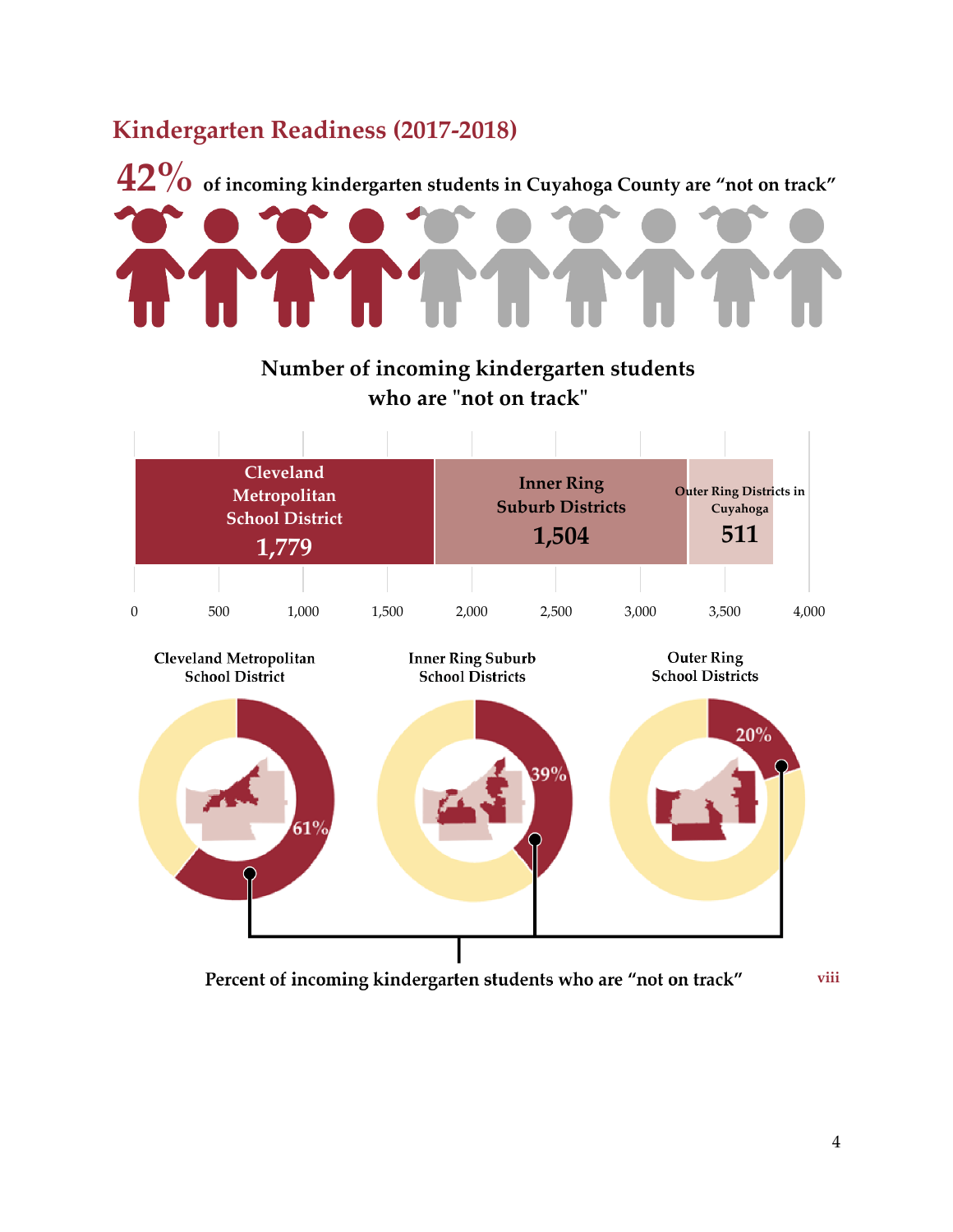## **Kindergarten Readiness (2017-2018)**



**Number of incoming kindergarten students who are "not on track"**



Percent of incoming kindergarten students who are "not on track"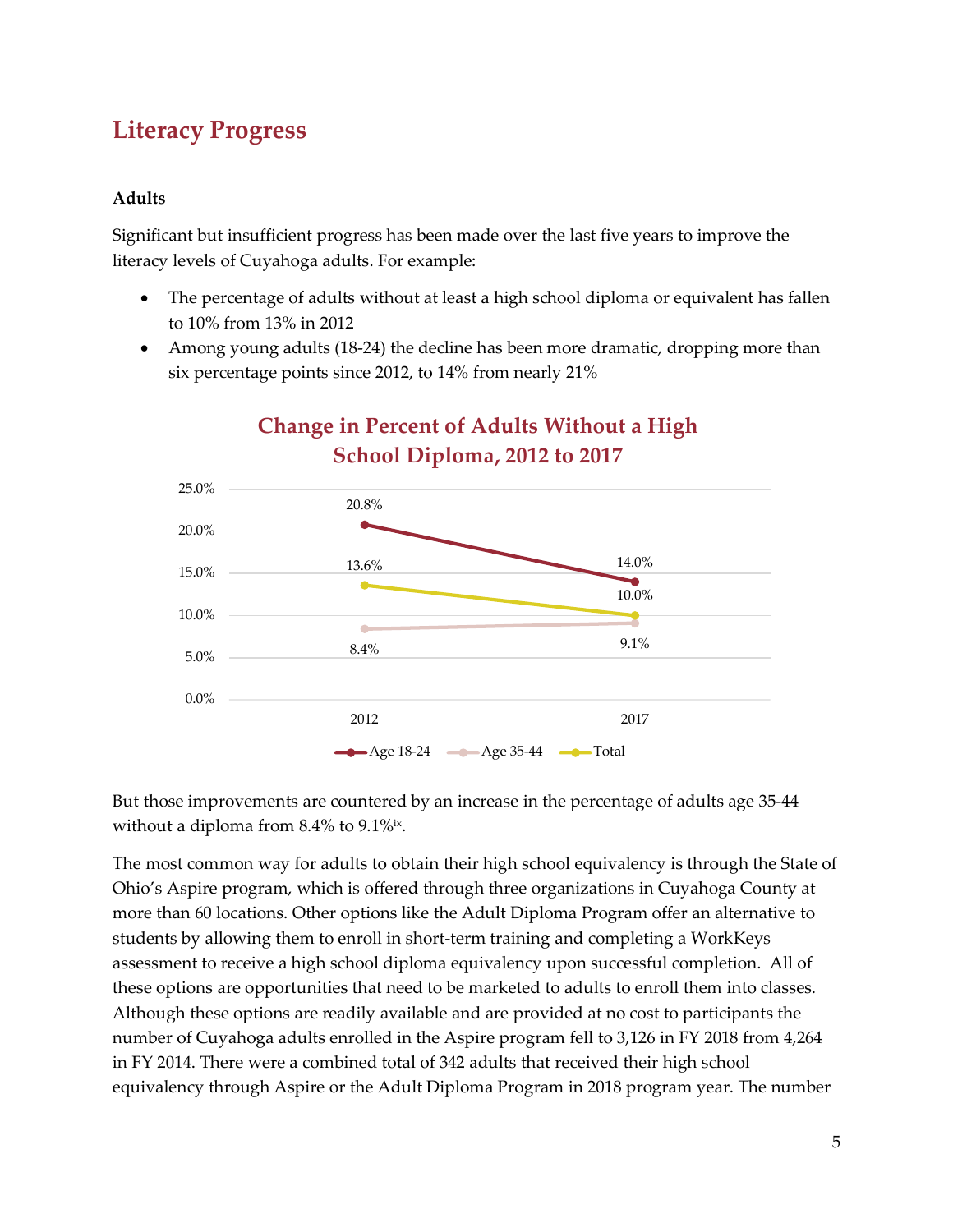## **Literacy Progress**

#### **Adults**

Significant but insufficient progress has been made over the last five years to improve the literacy levels of Cuyahoga adults. For example:

- The percentage of adults without at least a high school diploma or equivalent has fallen to 10% from 13% in 2012
- Among young adults (18-24) the decline has been more dramatic, dropping more than six percentage points since 2012, to 14% from nearly 21%



## **Change in Percent of Adults Without a High School Diploma, 2012 to 2017**

But those improvements are countered by an increase in the percentage of adults age 35-44 without a diploma from 8.4% to 9.1%<sup>ix</sup>.

The most common way for adults to obtain their high school equivalency is through the State of Ohio's Aspire program, which is offered through three organizations in Cuyahoga County at more than 60 locations. Other options like the Adult Diploma Program offer an alternative to students by allowing them to enroll in short-term training and completing a WorkKeys assessment to receive a high school diploma equivalency upon successful completion. All of these options are opportunities that need to be marketed to adults to enroll them into classes. Although these options are readily available and are provided at no cost to participants the number of Cuyahoga adults enrolled in the Aspire program fell to 3,126 in FY 2018 from 4,264 in FY 2014. There were a combined total of 342 adults that received their high school equivalency through Aspire or the Adult Diploma Program in 2018 program year. The number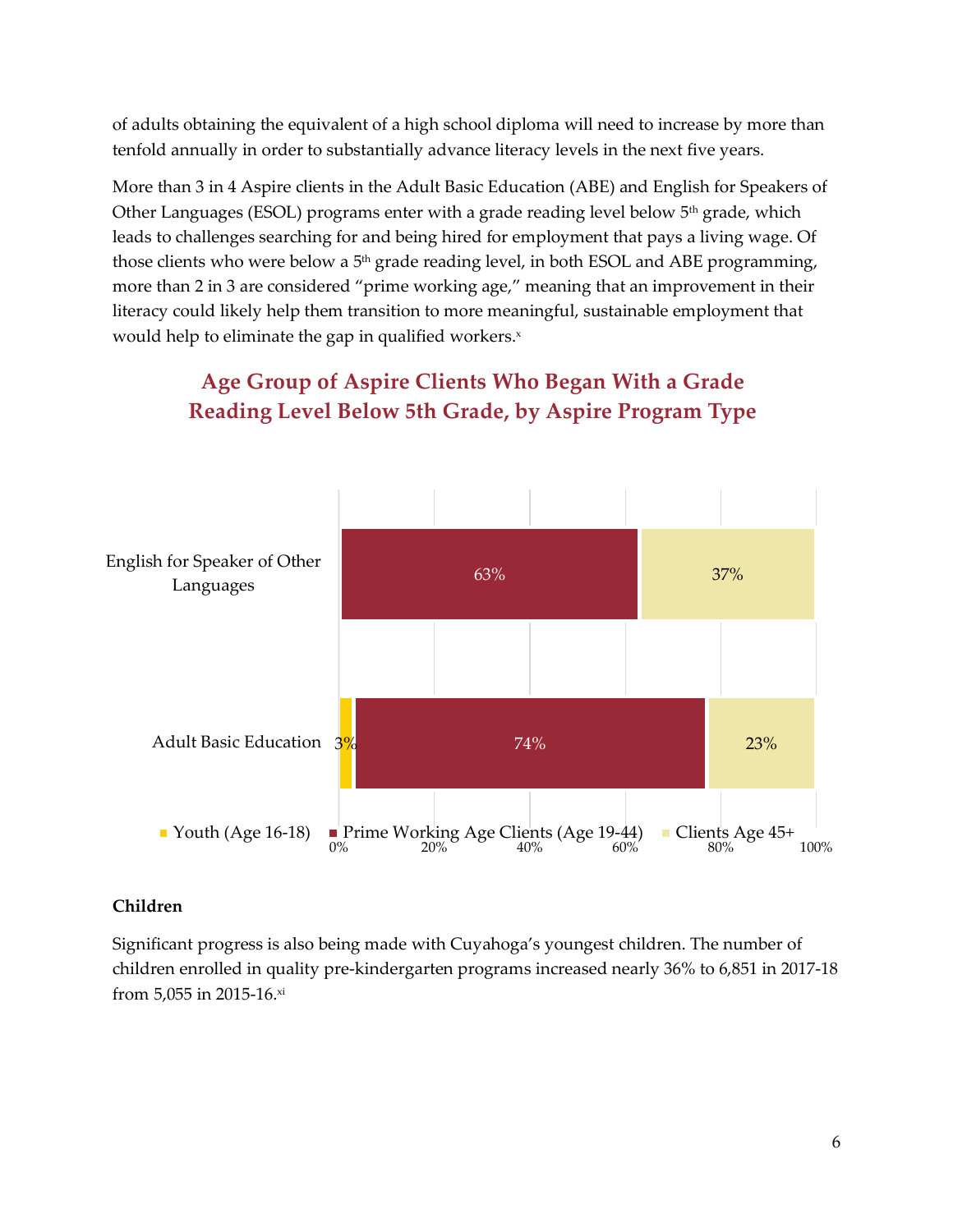of adults obtaining the equivalent of a high school diploma will need to increase by more than tenfold annually in order to substantially advance literacy levels in the next five years.

More than 3 in 4 Aspire clients in the Adult Basic Education (ABE) and English for Speakers of Other Languages (ESOL) programs enter with a grade reading level below  $5<sup>th</sup>$  grade, which leads to challenges searching for and being hired for employment that pays a living wage. Of those clients who were below a  $5<sup>th</sup>$  grade reading level, in both ESOL and ABE programming, more than 2 in 3 are considered "prime working age," meaning that an improvement in their literacy could likely help them transition to more meaningful, sustainable employment that would help to eliminate the gap in qualified workers.<sup>x</sup>



## **Age Group of Aspire Clients Who Began With a Grade Reading Level Below 5th Grade, by Aspire Program Type**

#### **Children**

Significant progress is also being made with Cuyahoga's youngest children. The number of children enrolled in quality pre-kindergarten programs increased nearly 36% to 6,851 in 2017-18 from 5,055 in 2015-16.xi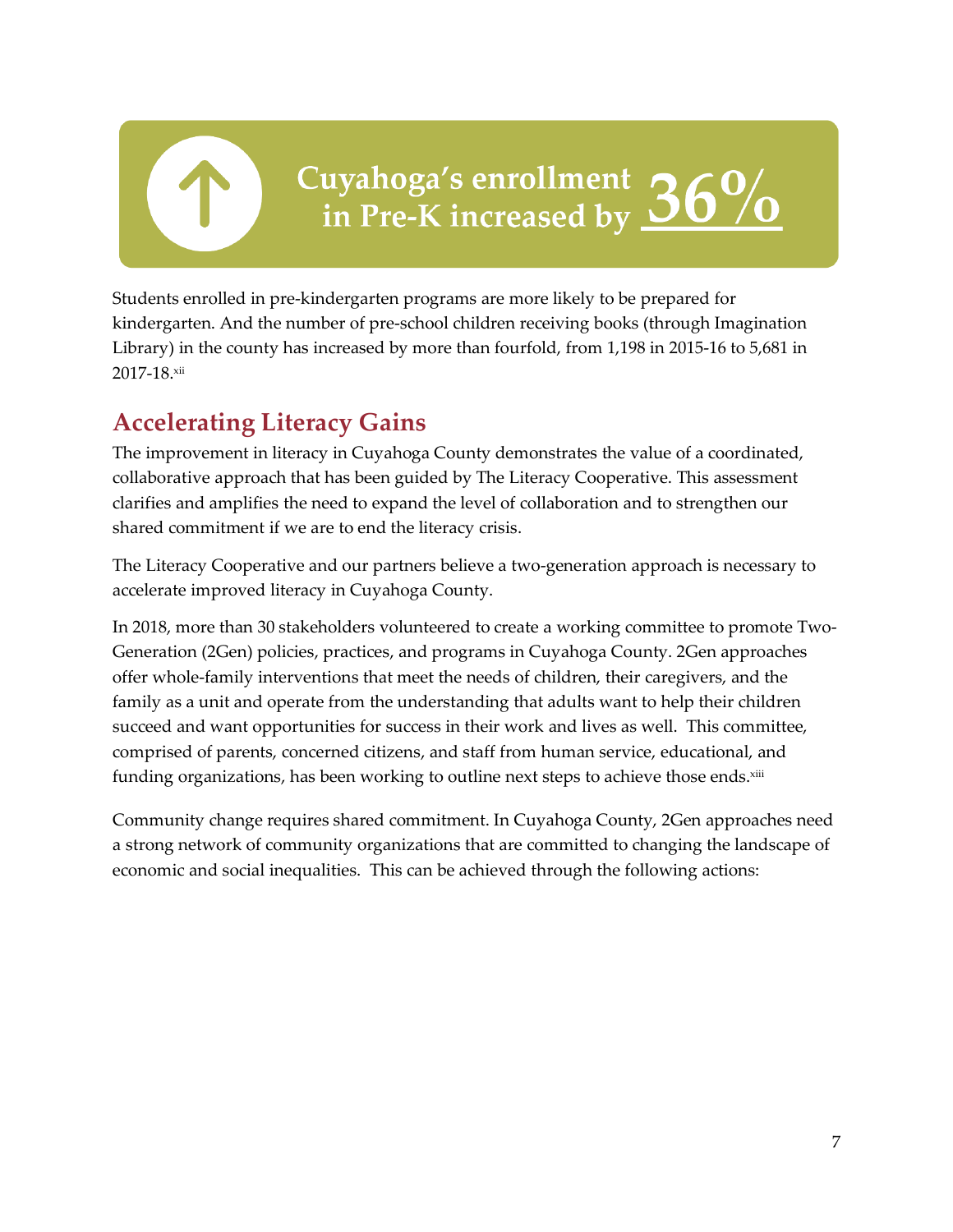Cuyahoga's enrollment 36%<br>in Pre-K increased by 36%

Students enrolled in pre-kindergarten programs are more likely to be prepared for kindergarten. And the number of pre-school children receiving books (through Imagination Library) in the county has increased by more than fourfold, from 1,198 in 2015-16 to 5,681 in 2017-18.xii

## **Accelerating Literacy Gains**

The improvement in literacy in Cuyahoga County demonstrates the value of a coordinated, collaborative approach that has been guided by The Literacy Cooperative. This assessment clarifies and amplifies the need to expand the level of collaboration and to strengthen our shared commitment if we are to end the literacy crisis.

The Literacy Cooperative and our partners believe a two-generation approach is necessary to accelerate improved literacy in Cuyahoga County.

In 2018, more than 30 stakeholders volunteered to create a working committee to promote Two-Generation (2Gen) policies, practices, and programs in Cuyahoga County. 2Gen approaches offer whole-family interventions that meet the needs of children, their caregivers, and the family as a unit and operate from the understanding that adults want to help their children succeed and want opportunities for success in their work and lives as well. This committee, comprised of parents, concerned citizens, and staff from human service, educational, and funding organizations, has been working to outline next steps to achieve those ends.xiii

Community change requires shared commitment. In Cuyahoga County, 2Gen approaches need a strong network of community organizations that are committed to changing the landscape of economic and social inequalities. This can be achieved through the following actions: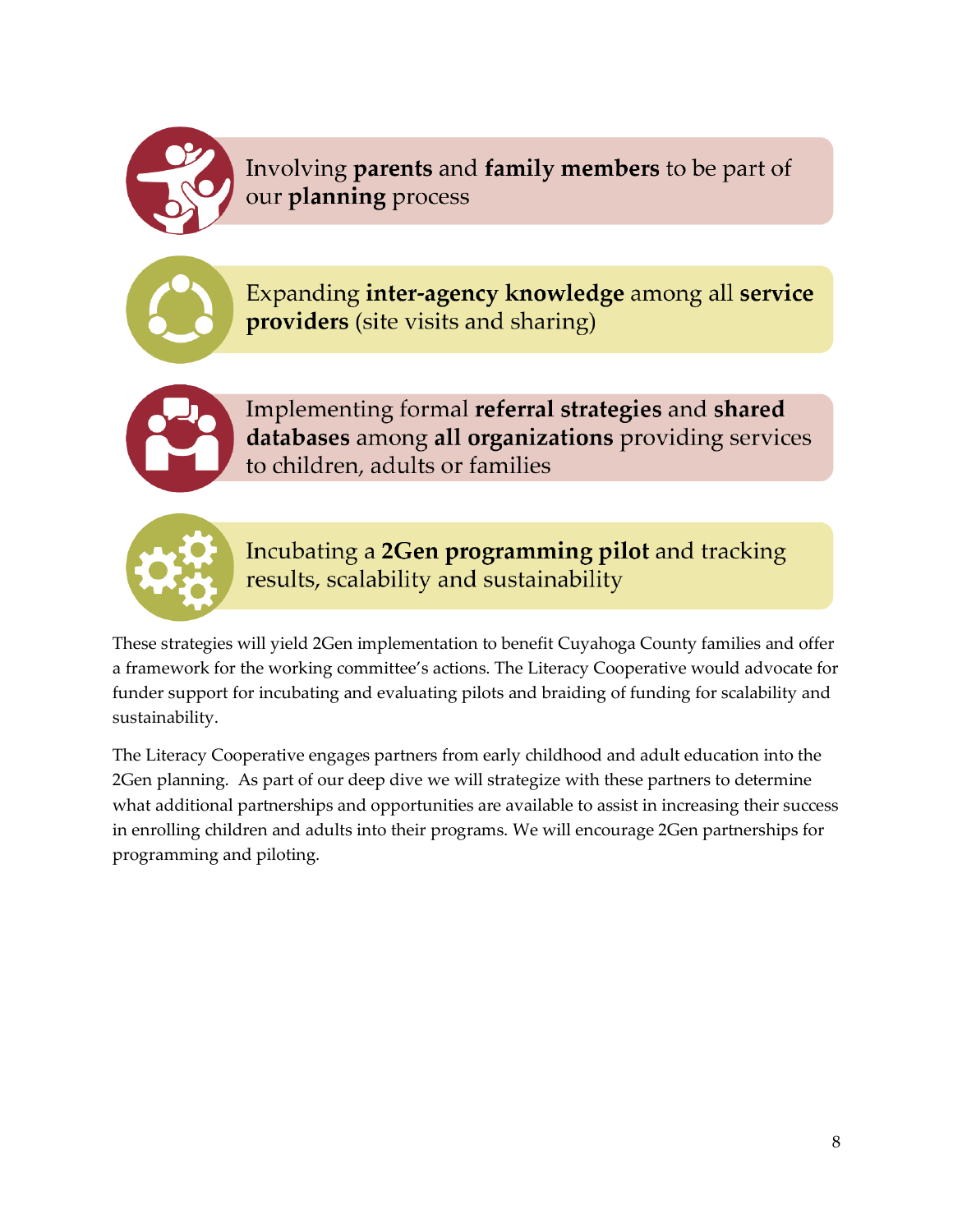

Involving parents and family members to be part of our planning process



Expanding inter-agency knowledge among all service providers (site visits and sharing)



Implementing formal referral strategies and shared databases among all organizations providing services to children, adults or families



Incubating a 2Gen programming pilot and tracking results, scalability and sustainability

These strategies will yield 2Gen implementation to benefit Cuyahoga County families and offer a framework for the working committee's actions. The Literacy Cooperative would advocate for funder support for incubating and evaluating pilots and braiding of funding for scalability and sustainability.

The Literacy Cooperative engages partners from early childhood and adult education into the 2Gen planning. As part of our deep dive we will strategize with these partners to determine what additional partnerships and opportunities are available to assist in increasing their success in enrolling children and adults into their programs. We will encourage 2Gen partnerships for programming and piloting.